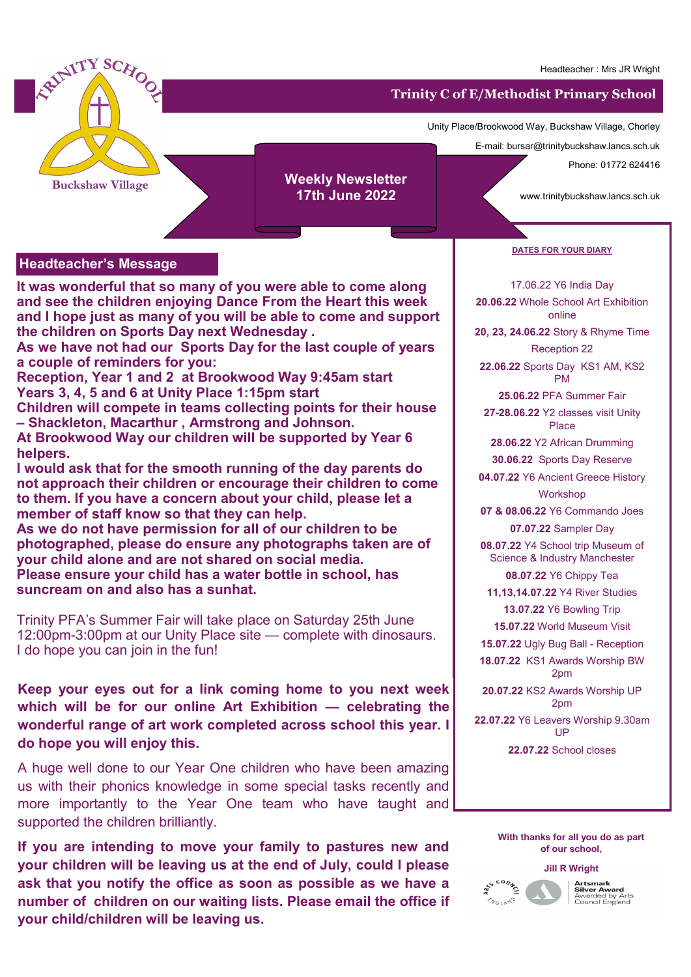

## **Headteacher's Message**

**It was wonderful that so many of you were able to come along and see the children enjoying Dance From the Heart this week and I hope just as many of you will be able to come and support the children on Sports Day next Wednesday .**

**As we have not had our Sports Day for the last couple of years a couple of reminders for you:** 

**Reception, Year 1 and 2 at Brookwood Way 9:45am start Years 3, 4, 5 and 6 at Unity Place 1:15pm start** 

**Children will compete in teams collecting points for their house – Shackleton, Macarthur , Armstrong and Johnson.** 

**At Brookwood Way our children will be supported by Year 6 helpers.** 

**I would ask that for the smooth running of the day parents do not approach their children or encourage their children to come to them. If you have a concern about your child, please let a member of staff know so that they can help.** 

**As we do not have permission for all of our children to be photographed, please do ensure any photographs taken are of your child alone and are not shared on social media. Please ensure your child has a water bottle in school, has suncream on and also has a sunhat.** 

Trinity PFA's Summer Fair will take place on Saturday 25th June 12:00pm-3:00pm at our Unity Place site — complete with dinosaurs. I do hope you can join in the fun!

**Keep your eyes out for a link coming home to you next week which will be for our online Art Exhibition — celebrating the wonderful range of art work completed across school this year. I do hope you will enjoy this.** 

us with their phonics knowledge in some special tasks recently and more importantly to the Year One team who have taught and A huge well done to our Year One children who have been amazing supported the children brilliantly.

**If you are intending to move your family to pastures new and your children will be leaving us at the end of July, could I please ask that you notify the office as soon as possible as we have a number of children on our waiting lists. Please email the office if your child/children will be leaving us.** 

## **DATES FOR YOUR DIARY**

# 17.06.22 Y6 India Day

**20.06.22** Whole School Art Exhibition online

**20, 23, 24.06.22** Story & Rhyme Time

Reception 22

**22.06.22** Sports Day KS1 AM, KS2 PM

**25.06.22** PFA Summer Fair

**27-28.06.22** Y2 classes visit Unity Place

**28.06.22** Y2 African Drumming

**30.06.22** Sports Day Reserve

**04.07.22** Y6 Ancient Greece History Workshop

**07 & 08.06.22** Y6 Commando Joes **07.07.22** Sampler Day

**08.07.22** Y4 School trip Museum of Science & Industry Manchester **08.07.22** Y6 Chippy Tea

**11,13,14.07.22** Y4 River Studies

**13.07.22** Y6 Bowling Trip

**15.07.22** World Museum Visit

**15.07.22** Ugly Bug Ball - Reception

**18.07.22** KS1 Awards Worship BW 2pm

**20.07.22** KS2 Awards Worship UP 2pm

**22.07.22** Y6 Leavers Worship 9.30am UP

**22.07.22** School closes

## **With thanks for all you do as part of our school,**



**Artsmark<br>Silver Award**<br>Awarded by Arts<br>Council England